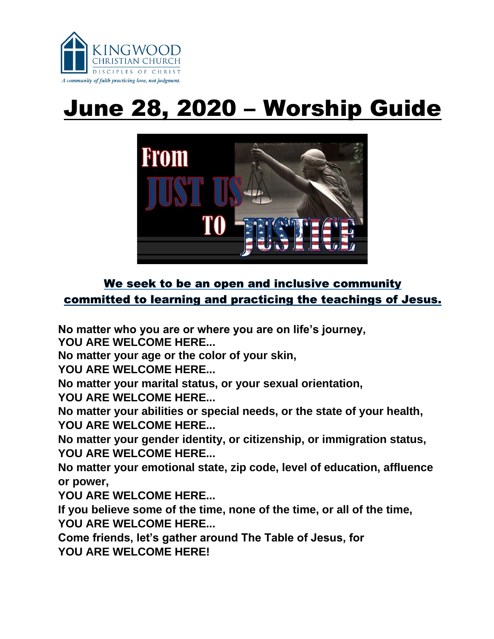

# June 28, 2020 – Worship Guide



## We seek to be an open and inclusive community committed to learning and practicing the teachings of Jesus.

**No matter who you are or where you are on life's journey,** 

**YOU ARE WELCOME HERE...**

**No matter your age or the color of your skin,**

**YOU ARE WELCOME HERE...**

**No matter your marital status, or your sexual orientation,**

**YOU ARE WELCOME HERE...**

**No matter your abilities or special needs, or the state of your health, YOU ARE WELCOME HERE...**

**No matter your gender identity, or citizenship, or immigration status, YOU ARE WELCOME HERE...**

**No matter your emotional state, zip code, level of education, affluence or power,** 

**YOU ARE WELCOME HERE...**

**If you believe some of the time, none of the time, or all of the time, YOU ARE WELCOME HERE...**

**Come friends, let's gather around The Table of Jesus, for YOU ARE WELCOME HERE!**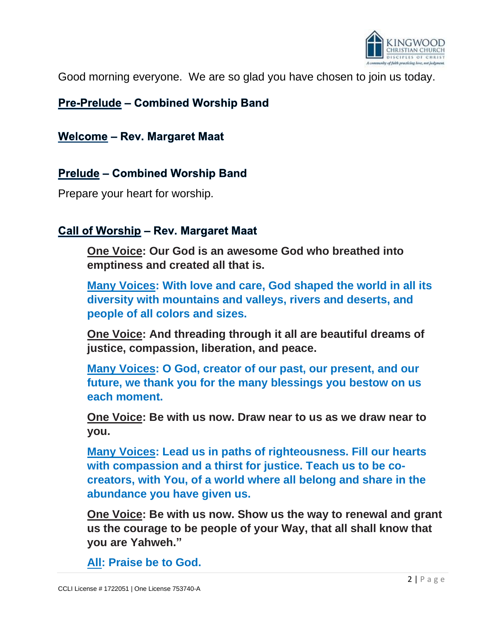

Good morning everyone. We are so glad you have chosen to join us today.

## **Pre-Prelude - Combined Worship Band**

**Welcome - Rev. Margaret Maat** 

## **Prelude – Combined Worship Band**

Prepare your heart for worship.

#### Call of Worship – Rev. Margaret Maat

**One Voice: Our God is an awesome God who breathed into emptiness and created all that is.**

**Many Voices: With love and care, God shaped the world in all its diversity with mountains and valleys, rivers and deserts, and people of all colors and sizes.**

**One Voice: And threading through it all are beautiful dreams of justice, compassion, liberation, and peace.**

**Many Voices: O God, creator of our past, our present, and our future, we thank you for the many blessings you bestow on us each moment.**

**One Voice: Be with us now. Draw near to us as we draw near to you.**

**Many Voices: Lead us in paths of righteousness. Fill our hearts with compassion and a thirst for justice. Teach us to be cocreators, with You, of a world where all belong and share in the abundance you have given us.**

**One Voice: Be with us now. Show us the way to renewal and grant us the courage to be people of your Way, that all shall know that you are Yahweh."**

**All: Praise be to God.**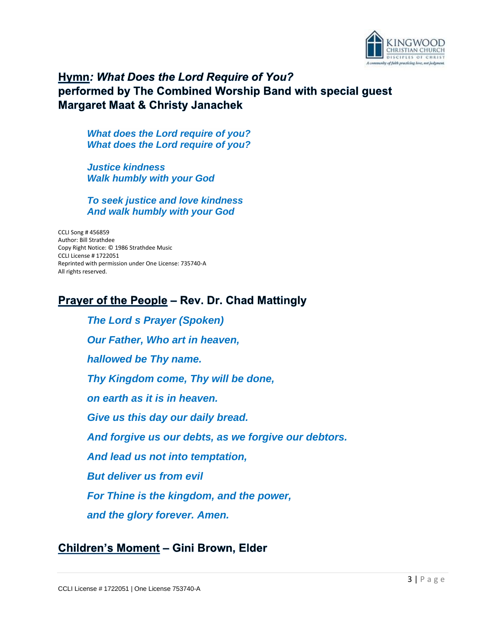

## Hymn: What Does the Lord Require of You? performed by The Combined Worship Band with special guest **Margaret Maat & Christy Janachek**

*What does the Lord require of you? What does the Lord require of you?*

*Justice kindness Walk humbly with your God*

*To seek justice and love kindness And walk humbly with your God*

CCLI Song # 456859 Author: Bill Strathdee Copy Right Notice: © 1986 Strathdee Music CCLI License # 1722051 Reprinted with permission under One License: 735740-A All rights reserved.

#### **Prayer of the People - Rev. Dr. Chad Mattingly**

*The Lord s Prayer (Spoken) Our Father, Who art in heaven, hallowed be Thy name. Thy Kingdom come, Thy will be done, on earth as it is in heaven. Give us this day our daily bread. And forgive us our debts, as we forgive our debtors. And lead us not into temptation, But deliver us from evil For Thine is the kingdom, and the power, and the glory forever. Amen.*

#### Children's Moment - Gini Brown, Elder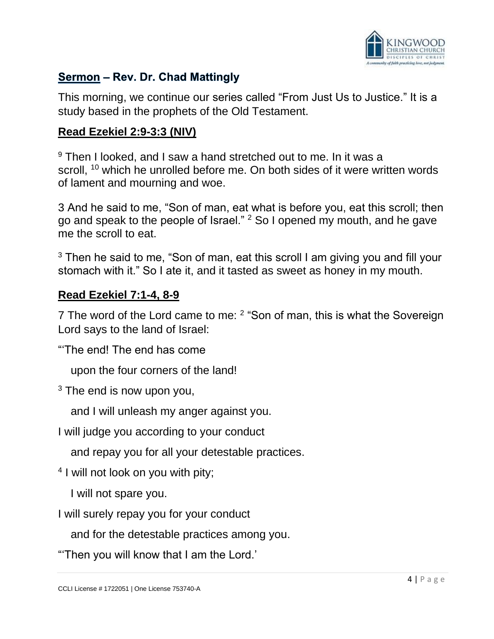

## Sermon - Rev. Dr. Chad Mattingly

This morning, we continue our series called "From Just Us to Justice." It is a study based in the prophets of the Old Testament.

#### **Read Ezekiel 2:9-3:3 (NIV)**

<sup>9</sup> Then I looked, and I saw a hand stretched out to me. In it was a scroll, <sup>10</sup> which he unrolled before me. On both sides of it were written words of lament and mourning and woe.

3 And he said to me, "Son of man, eat what is before you, eat this scroll; then go and speak to the people of Israel." <sup>2</sup> So I opened my mouth, and he gave me the scroll to eat.

 $3$  Then he said to me, "Son of man, eat this scroll I am giving you and fill your stomach with it." So I ate it, and it tasted as sweet as honey in my mouth.

#### **Read Ezekiel 7:1-4, 8-9**

7 The word of the Lord came to me: <sup>2</sup> "Son of man, this is what the Sovereign Lord says to the land of Israel:

"'The end! The end has come

upon the four corners of the land!

 $3$  The end is now upon you,

and I will unleash my anger against you.

I will judge you according to your conduct

and repay you for all your detestable practices.

<sup>4</sup> I will not look on you with pity;

I will not spare you.

I will surely repay you for your conduct

and for the detestable practices among you.

"'Then you will know that I am the Lord.'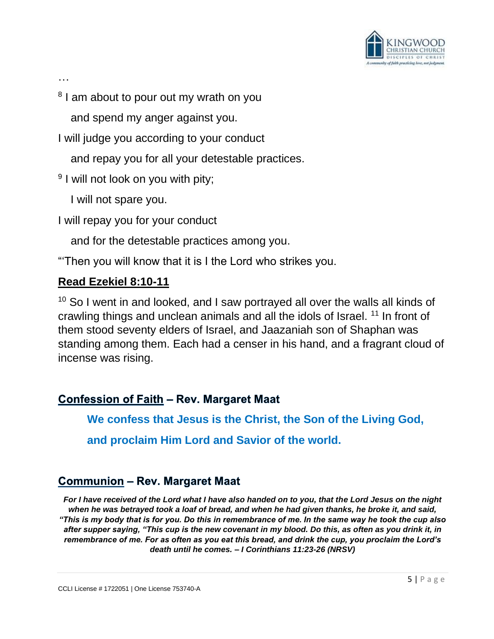

…

<sup>8</sup> I am about to pour out my wrath on you

and spend my anger against you.

I will judge you according to your conduct

and repay you for all your detestable practices.

<sup>9</sup> I will not look on you with pity;

I will not spare you.

I will repay you for your conduct

and for the detestable practices among you.

"'Then you will know that it is I the Lord who strikes you.

#### **Read Ezekiel 8:10-11**

<sup>10</sup> So I went in and looked, and I saw portrayed all over the walls all kinds of crawling things and unclean animals and all the idols of Israel. <sup>11</sup> In front of them stood seventy elders of Israel, and Jaazaniah son of Shaphan was standing among them. Each had a censer in his hand, and a fragrant cloud of incense was rising.

## **Confession of Faith - Rev. Margaret Maat**

**We confess that Jesus is the Christ, the Son of the Living God, and proclaim Him Lord and Savior of the world.**

## **Communion - Rev. Margaret Maat**

*For I have received of the Lord what I have also handed on to you, that the Lord Jesus on the night when he was betrayed took a loaf of bread, and when he had given thanks, he broke it, and said, "This is my body that is for you. Do this in remembrance of me. In the same way he took the cup also after supper saying, "This cup is the new covenant in my blood. Do this, as often as you drink it, in remembrance of me. For as often as you eat this bread, and drink the cup, you proclaim the Lord's death until he comes. – I Corinthians 11:23-26 (NRSV)*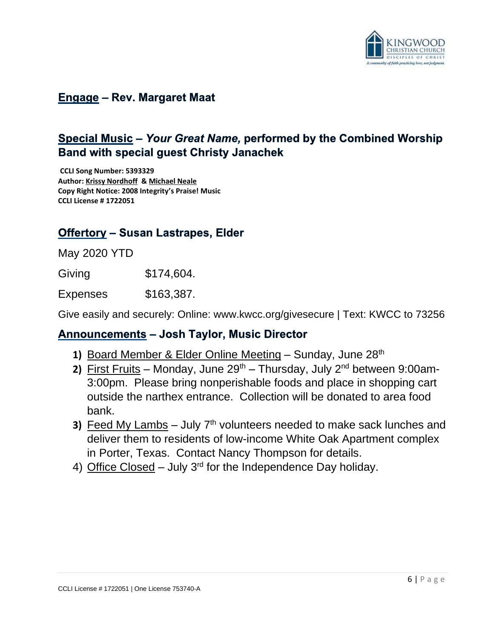

#### **Engage - Rev. Margaret Maat**

## Special Music - Your Great Name, performed by the Combined Worship **Band with special quest Christy Janachek**

**CCLI Song Number: 5393329 Author[: Krissy Nordhoff](https://songselect.ccli.com/Search/Results?List=contributor_P469986_Krissy%20Nordhoff) [& Michael Neale](https://songselect.ccli.com/Search/Results?List=contributor_P406481_Michael%20Neale) Copy Right Notice: 2008 Integrity's Praise! Music CCLI License # 1722051**

#### **Offertory - Susan Lastrapes, Elder**

May 2020 YTD

Giving \$174,604.

Expenses \$163,387.

Give easily and securely: Online: www.kwcc.org/givesecure | Text: KWCC to 73256

#### **Announcements - Josh Taylor, Music Director**

- **1)** Board Member & Elder Online Meeting Sunday, June 28<sup>th</sup>
- **2)** First Fruits Monday, June 29<sup>th</sup> Thursday, July 2<sup>nd</sup> between 9:00am-3:00pm. Please bring nonperishable foods and place in shopping cart outside the narthex entrance. Collection will be donated to area food bank.
- **3)** Feed My Lambs July  $7<sup>th</sup>$  volunteers needed to make sack lunches and deliver them to residents of low-income White Oak Apartment complex in Porter, Texas. Contact Nancy Thompson for details.
- 4) Office Closed July 3<sup>rd</sup> for the Independence Day holiday.